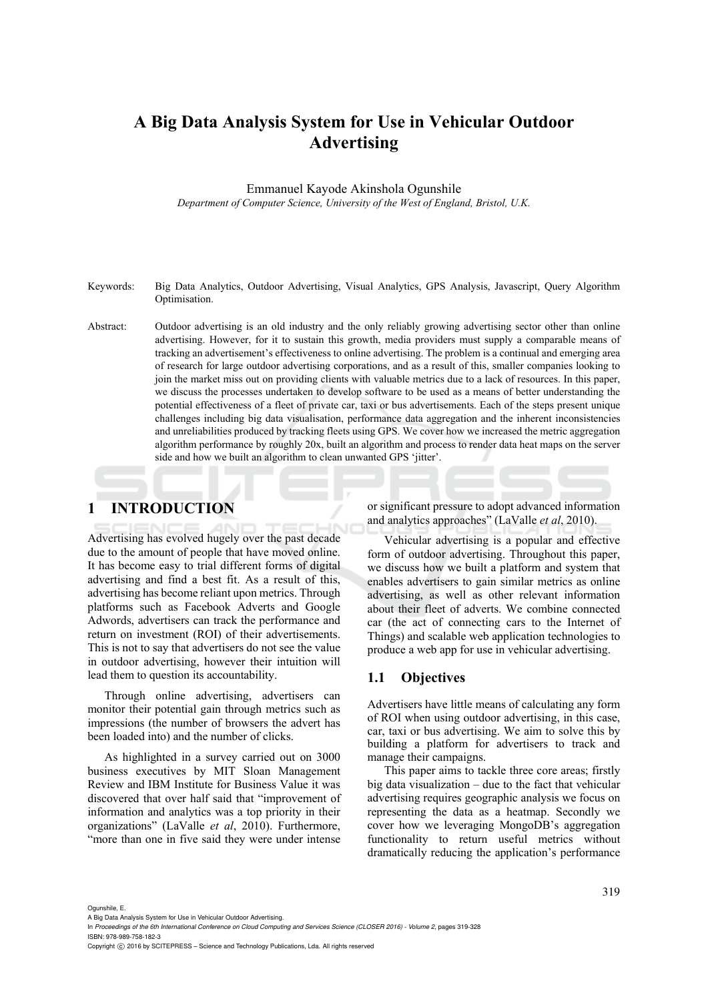# **A Big Data Analysis System for Use in Vehicular Outdoor Advertising**

Emmanuel Kayode Akinshola Ogunshile *Department of Computer Science, University of the West of England, Bristol, U.K.* 

- Keywords: Big Data Analytics, Outdoor Advertising, Visual Analytics, GPS Analysis, Javascript, Query Algorithm Optimisation.
- Abstract: Outdoor advertising is an old industry and the only reliably growing advertising sector other than online advertising. However, for it to sustain this growth, media providers must supply a comparable means of tracking an advertisement's effectiveness to online advertising. The problem is a continual and emerging area of research for large outdoor advertising corporations, and as a result of this, smaller companies looking to join the market miss out on providing clients with valuable metrics due to a lack of resources. In this paper, we discuss the processes undertaken to develop software to be used as a means of better understanding the potential effectiveness of a fleet of private car, taxi or bus advertisements. Each of the steps present unique challenges including big data visualisation, performance data aggregation and the inherent inconsistencies and unreliabilities produced by tracking fleets using GPS. We cover how we increased the metric aggregation algorithm performance by roughly 20x, built an algorithm and process to render data heat maps on the server side and how we built an algorithm to clean unwanted GPS 'jitter'.

# **1 INTRODUCTION**

Advertising has evolved hugely over the past decade due to the amount of people that have moved online. It has become easy to trial different forms of digital advertising and find a best fit. As a result of this, advertising has become reliant upon metrics. Through platforms such as Facebook Adverts and Google Adwords, advertisers can track the performance and return on investment (ROI) of their advertisements. This is not to say that advertisers do not see the value in outdoor advertising, however their intuition will lead them to question its accountability.

Through online advertising, advertisers can monitor their potential gain through metrics such as impressions (the number of browsers the advert has been loaded into) and the number of clicks.

As highlighted in a survey carried out on 3000 business executives by MIT Sloan Management Review and IBM Institute for Business Value it was discovered that over half said that "improvement of information and analytics was a top priority in their organizations" (LaValle *et al*, 2010). Furthermore, "more than one in five said they were under intense or significant pressure to adopt advanced information and analytics approaches" (LaValle *et al*, 2010).

Vehicular advertising is a popular and effective form of outdoor advertising. Throughout this paper, we discuss how we built a platform and system that enables advertisers to gain similar metrics as online advertising, as well as other relevant information about their fleet of adverts. We combine connected car (the act of connecting cars to the Internet of Things) and scalable web application technologies to produce a web app for use in vehicular advertising.

## **1.1 Objectives**

Advertisers have little means of calculating any form of ROI when using outdoor advertising, in this case, car, taxi or bus advertising. We aim to solve this by building a platform for advertisers to track and manage their campaigns.

This paper aims to tackle three core areas; firstly big data visualization – due to the fact that vehicular advertising requires geographic analysis we focus on representing the data as a heatmap. Secondly we cover how we leveraging MongoDB's aggregation functionality to return useful metrics without dramatically reducing the application's performance

Ogunshile, E.

Copyright C 2016 by SCITEPRESS - Science and Technology Publications, Lda. All rights reserved

A Big Data Analysis System for Use in Vehicular Outdoor Advertising.

In *Proceedings of the 6th International Conference on Cloud Computing and Services Science (CLOSER 2016) - Volume 2*, pages 319-328 ISBN: 978-989-758-182-3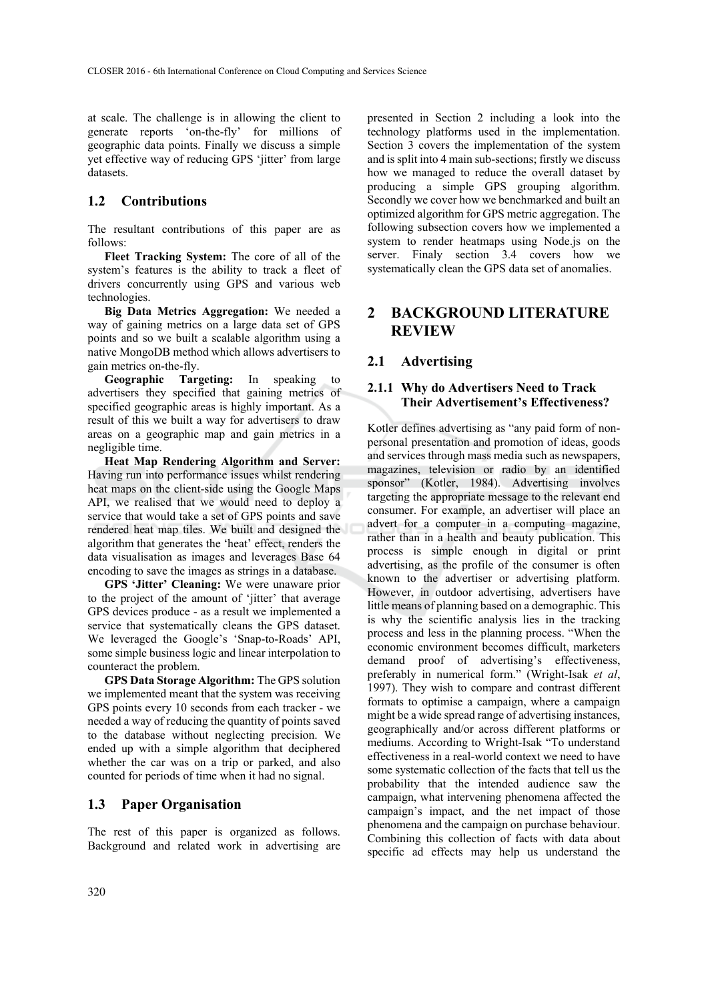at scale. The challenge is in allowing the client to generate reports 'on-the-fly' for millions of geographic data points. Finally we discuss a simple yet effective way of reducing GPS 'jitter' from large datasets.

# **1.2 Contributions**

The resultant contributions of this paper are as follows:

**Fleet Tracking System:** The core of all of the system's features is the ability to track a fleet of drivers concurrently using GPS and various web technologies.

**Big Data Metrics Aggregation:** We needed a way of gaining metrics on a large data set of GPS points and so we built a scalable algorithm using a native MongoDB method which allows advertisers to gain metrics on-the-fly.

**Geographic Targeting:** In speaking to advertisers they specified that gaining metrics of specified geographic areas is highly important. As a result of this we built a way for advertisers to draw areas on a geographic map and gain metrics in a negligible time.

**Heat Map Rendering Algorithm and Server:**  Having run into performance issues whilst rendering heat maps on the client-side using the Google Maps API, we realised that we would need to deploy a service that would take a set of GPS points and save rendered heat map tiles. We built and designed the algorithm that generates the 'heat' effect, renders the data visualisation as images and leverages Base 64 encoding to save the images as strings in a database.

**GPS 'Jitter' Cleaning:** We were unaware prior to the project of the amount of 'jitter' that average GPS devices produce - as a result we implemented a service that systematically cleans the GPS dataset. We leveraged the Google's 'Snap-to-Roads' API, some simple business logic and linear interpolation to counteract the problem.

**GPS Data Storage Algorithm:** The GPS solution we implemented meant that the system was receiving GPS points every 10 seconds from each tracker - we needed a way of reducing the quantity of points saved to the database without neglecting precision. We ended up with a simple algorithm that deciphered whether the car was on a trip or parked, and also counted for periods of time when it had no signal.

## **1.3 Paper Organisation**

The rest of this paper is organized as follows. Background and related work in advertising are

presented in Section 2 including a look into the technology platforms used in the implementation. Section 3 covers the implementation of the system and is split into 4 main sub-sections; firstly we discuss how we managed to reduce the overall dataset by producing a simple GPS grouping algorithm. Secondly we cover how we benchmarked and built an optimized algorithm for GPS metric aggregation. The following subsection covers how we implemented a system to render heatmaps using Node.js on the server. Finaly section 3.4 covers how we systematically clean the GPS data set of anomalies.

# **2 BACKGROUND LITERATURE REVIEW**

### **2.1 Advertising**

### **2.1.1 Why do Advertisers Need to Track Their Advertisement's Effectiveness?**

Kotler defines advertising as "any paid form of nonpersonal presentation and promotion of ideas, goods and services through mass media such as newspapers, magazines, television or radio by an identified sponsor" (Kotler, 1984). Advertising involves targeting the appropriate message to the relevant end consumer. For example, an advertiser will place an advert for a computer in a computing magazine, rather than in a health and beauty publication. This process is simple enough in digital or print advertising, as the profile of the consumer is often known to the advertiser or advertising platform. However, in outdoor advertising, advertisers have little means of planning based on a demographic. This is why the scientific analysis lies in the tracking process and less in the planning process. "When the economic environment becomes difficult, marketers demand proof of advertising's effectiveness, preferably in numerical form." (Wright-Isak *et al*, 1997). They wish to compare and contrast different formats to optimise a campaign, where a campaign might be a wide spread range of advertising instances, geographically and/or across different platforms or mediums. According to Wright-Isak "To understand effectiveness in a real-world context we need to have some systematic collection of the facts that tell us the probability that the intended audience saw the campaign, what intervening phenomena affected the campaign's impact, and the net impact of those phenomena and the campaign on purchase behaviour. Combining this collection of facts with data about specific ad effects may help us understand the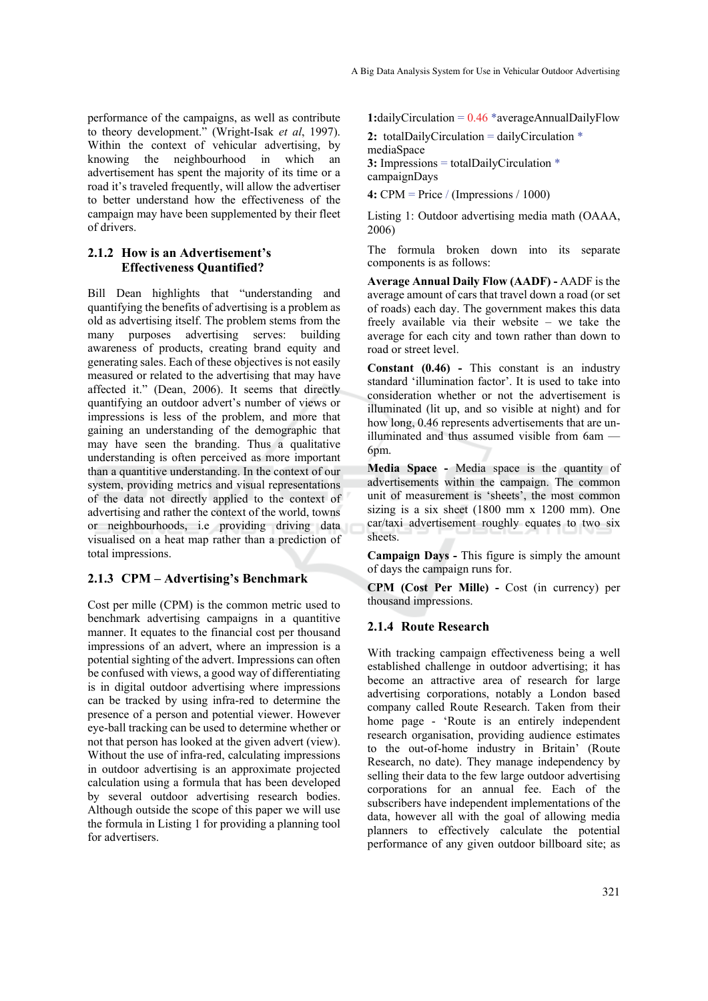performance of the campaigns, as well as contribute to theory development." (Wright-Isak *et al*, 1997). Within the context of vehicular advertising, by knowing the neighbourhood in which an advertisement has spent the majority of its time or a road it's traveled frequently, will allow the advertiser to better understand how the effectiveness of the campaign may have been supplemented by their fleet of drivers.

### **2.1.2 How is an Advertisement's Effectiveness Quantified?**

Bill Dean highlights that "understanding and quantifying the benefits of advertising is a problem as old as advertising itself. The problem stems from the many purposes advertising serves: building awareness of products, creating brand equity and generating sales. Each of these objectives is not easily measured or related to the advertising that may have affected it." (Dean, 2006). It seems that directly quantifying an outdoor advert's number of views or impressions is less of the problem, and more that gaining an understanding of the demographic that may have seen the branding. Thus a qualitative understanding is often perceived as more important than a quantitive understanding. In the context of our system, providing metrics and visual representations of the data not directly applied to the context of advertising and rather the context of the world, towns or neighbourhoods, i.e providing driving data visualised on a heat map rather than a prediction of total impressions.

### **2.1.3 CPM – Advertising's Benchmark**

Cost per mille (CPM) is the common metric used to benchmark advertising campaigns in a quantitive manner. It equates to the financial cost per thousand impressions of an advert, where an impression is a potential sighting of the advert. Impressions can often be confused with views, a good way of differentiating is in digital outdoor advertising where impressions can be tracked by using infra-red to determine the presence of a person and potential viewer. However eye-ball tracking can be used to determine whether or not that person has looked at the given advert (view). Without the use of infra-red, calculating impressions in outdoor advertising is an approximate projected calculation using a formula that has been developed by several outdoor advertising research bodies. Although outside the scope of this paper we will use the formula in Listing 1 for providing a planning tool for advertisers.

**1:**dailyCirculation =  $0.46$  \*averageAnnualDailyFlow

**2:** totalDailyCirculation = dailyCirculation \* mediaSpace **3:** Impressions = totalDailyCirculation \* campaignDays

**4:** CPM = Price / (Impressions / 1000)

Listing 1: Outdoor advertising media math (OAAA, 2006)

The formula broken down into its separate components is as follows:

**Average Annual Daily Flow (AADF) -** AADF is the average amount of cars that travel down a road (or set of roads) each day. The government makes this data freely available via their website – we take the average for each city and town rather than down to road or street level.

**Constant (0.46) -** This constant is an industry standard 'illumination factor'. It is used to take into consideration whether or not the advertisement is illuminated (lit up, and so visible at night) and for how long, 0.46 represents advertisements that are unilluminated and thus assumed visible from 6am — 6pm.

**Media Space -** Media space is the quantity of advertisements within the campaign. The common unit of measurement is 'sheets', the most common sizing is a six sheet (1800 mm x 1200 mm). One car/taxi advertisement roughly equates to two six sheets.

**Campaign Days -** This figure is simply the amount of days the campaign runs for.

**CPM (Cost Per Mille) -** Cost (in currency) per thousand impressions.

#### **2.1.4 Route Research**

With tracking campaign effectiveness being a well established challenge in outdoor advertising; it has become an attractive area of research for large advertising corporations, notably a London based company called Route Research. Taken from their home page - 'Route is an entirely independent research organisation, providing audience estimates to the out-of-home industry in Britain' (Route Research, no date). They manage independency by selling their data to the few large outdoor advertising corporations for an annual fee. Each of the subscribers have independent implementations of the data, however all with the goal of allowing media planners to effectively calculate the potential performance of any given outdoor billboard site; as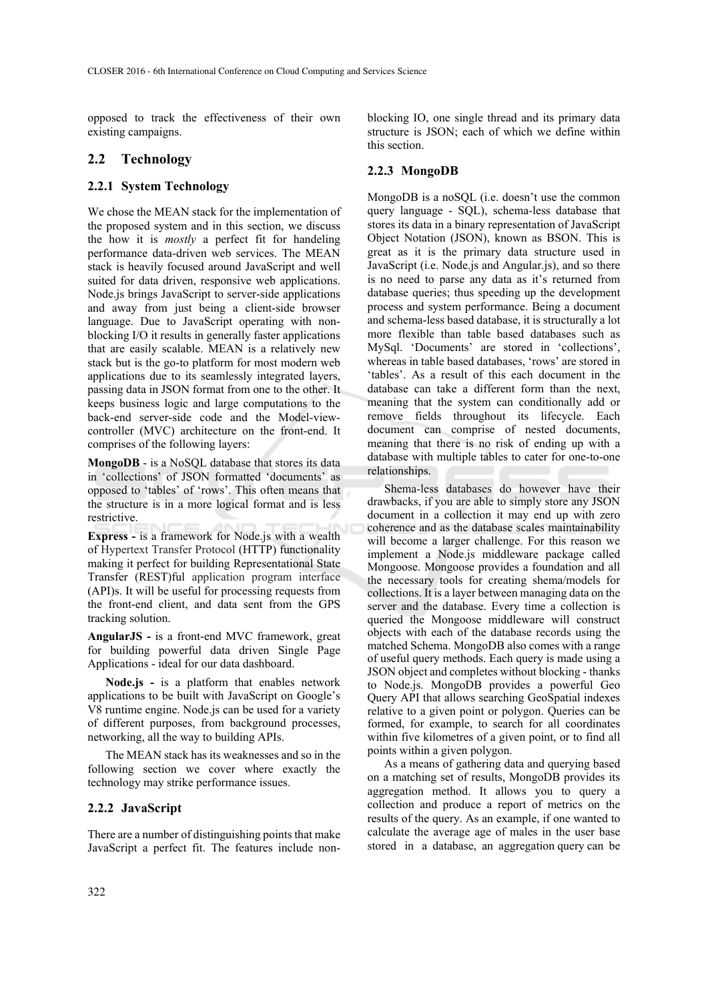opposed to track the effectiveness of their own existing campaigns.

## **2.2 Technology**

### **2.2.1 System Technology**

We chose the MEAN stack for the implementation of the proposed system and in this section, we discuss the how it is *mostly* a perfect fit for handeling performance data-driven web services. The MEAN stack is heavily focused around JavaScript and well suited for data driven, responsive web applications. Node.js brings JavaScript to server-side applications and away from just being a client-side browser language. Due to JavaScript operating with nonblocking I/O it results in generally faster applications that are easily scalable. MEAN is a relatively new stack but is the go-to platform for most modern web applications due to its seamlessly integrated layers, passing data in JSON format from one to the other. It keeps business logic and large computations to the back-end server-side code and the Model-viewcontroller (MVC) architecture on the front-end. It comprises of the following layers:

**MongoDB** - is a NoSQL database that stores its data in 'collections' of JSON formatted 'documents' as opposed to 'tables' of 'rows'. This often means that the structure is in a more logical format and is less restrictive.

**Express -** is a framework for Node.js with a wealth of Hypertext Transfer Protocol (HTTP) functionality making it perfect for building Representational State Transfer (REST)ful application program interface (API)s. It will be useful for processing requests from the front-end client, and data sent from the GPS tracking solution.

**AngularJS -** is a front-end MVC framework, great for building powerful data driven Single Page Applications - ideal for our data dashboard.

**Node.js -** is a platform that enables network applications to be built with JavaScript on Google's V8 runtime engine. Node.js can be used for a variety of different purposes, from background processes, networking, all the way to building APIs.

The MEAN stack has its weaknesses and so in the following section we cover where exactly the technology may strike performance issues.

### **2.2.2 JavaScript**

There are a number of distinguishing points that make JavaScript a perfect fit. The features include nonblocking IO, one single thread and its primary data structure is JSON; each of which we define within this section.

### **2.2.3 MongoDB**

MongoDB is a noSQL (i.e. doesn't use the common query language - SQL), schema-less database that stores its data in a binary representation of JavaScript Object Notation (JSON), known as BSON. This is great as it is the primary data structure used in JavaScript (i.e. Node.js and Angular.js), and so there is no need to parse any data as it's returned from database queries; thus speeding up the development process and system performance. Being a document and schema-less based database, it is structurally a lot more flexible than table based databases such as MySql. 'Documents' are stored in 'collections', whereas in table based databases, 'rows' are stored in 'tables'. As a result of this each document in the database can take a different form than the next, meaning that the system can conditionally add or remove fields throughout its lifecycle. Each document can comprise of nested documents, meaning that there is no risk of ending up with a database with multiple tables to cater for one-to-one relationships.

Shema-less databases do however have their drawbacks, if you are able to simply store any JSON document in a collection it may end up with zero coherence and as the database scales maintainability will become a larger challenge. For this reason we implement a Node.js middleware package called Mongoose. Mongoose provides a foundation and all the necessary tools for creating shema/models for collections. It is a layer between managing data on the server and the database. Every time a collection is queried the Mongoose middleware will construct objects with each of the database records using the matched Schema. MongoDB also comes with a range of useful query methods. Each query is made using a JSON object and completes without blocking - thanks to Node.js. MongoDB provides a powerful Geo Query API that allows searching GeoSpatial indexes relative to a given point or polygon. Queries can be formed, for example, to search for all coordinates within five kilometres of a given point, or to find all points within a given polygon.

As a means of gathering data and querying based on a matching set of results, MongoDB provides its aggregation method. It allows you to query a collection and produce a report of metrics on the results of the query. As an example, if one wanted to calculate the average age of males in the user base stored in a database, an aggregation query can be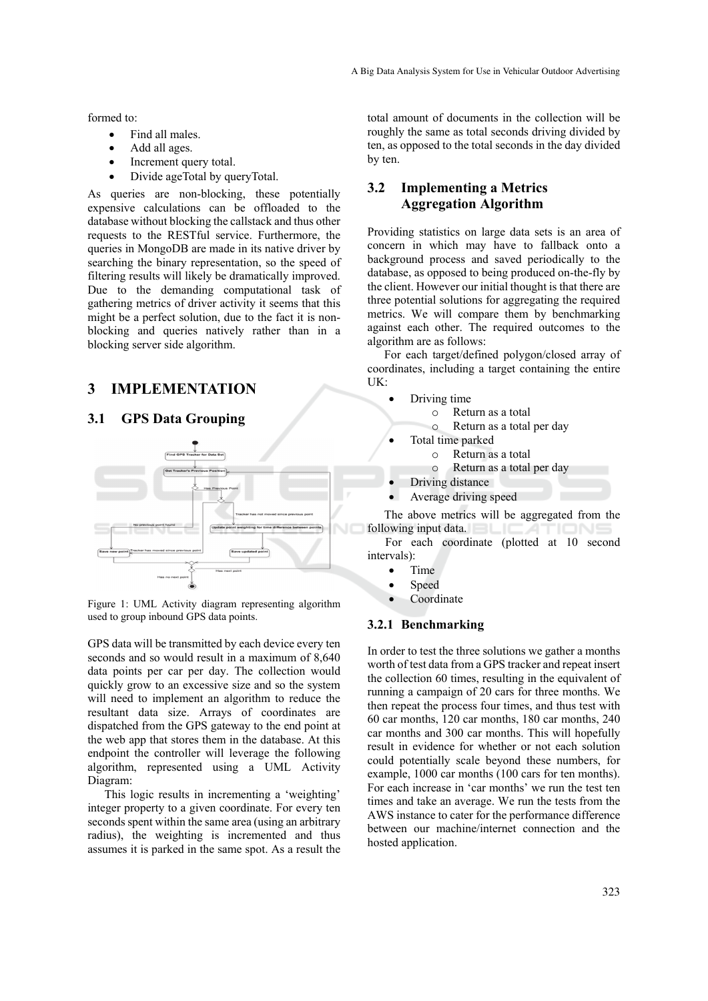formed to:

- Find all males.
- Add all ages.
- Increment query total.
- Divide ageTotal by queryTotal.

As queries are non-blocking, these potentially expensive calculations can be offloaded to the database without blocking the callstack and thus other requests to the RESTful service. Furthermore, the queries in MongoDB are made in its native driver by searching the binary representation, so the speed of filtering results will likely be dramatically improved. Due to the demanding computational task of gathering metrics of driver activity it seems that this might be a perfect solution, due to the fact it is nonblocking and queries natively rather than in a blocking server side algorithm.

# **3 IMPLEMENTATION**

### **3.1 GPS Data Grouping**



Figure 1: UML Activity diagram representing algorithm used to group inbound GPS data points.

GPS data will be transmitted by each device every ten seconds and so would result in a maximum of 8,640 data points per car per day. The collection would quickly grow to an excessive size and so the system will need to implement an algorithm to reduce the resultant data size. Arrays of coordinates are dispatched from the GPS gateway to the end point at the web app that stores them in the database. At this endpoint the controller will leverage the following algorithm, represented using a UML Activity Diagram:

This logic results in incrementing a 'weighting' integer property to a given coordinate. For every ten seconds spent within the same area (using an arbitrary radius), the weighting is incremented and thus assumes it is parked in the same spot. As a result the

total amount of documents in the collection will be roughly the same as total seconds driving divided by ten, as opposed to the total seconds in the day divided by ten.

# **3.2 Implementing a Metrics Aggregation Algorithm**

Providing statistics on large data sets is an area of concern in which may have to fallback onto a background process and saved periodically to the database, as opposed to being produced on-the-fly by the client. However our initial thought is that there are three potential solutions for aggregating the required metrics. We will compare them by benchmarking against each other. The required outcomes to the algorithm are as follows:

For each target/defined polygon/closed array of coordinates, including a target containing the entire UK:

- Driving time
	- o Return as a total
		- Return as a total per day
- Total time parked
	- o Return as a total
		- o Return as a total per day
- Driving distance
- Average driving speed

The above metrics will be aggregated from the following input data.

For each coordinate (plotted at 10 second intervals):

- $\bullet$  Time
- Speed
- Coordinate

### **3.2.1 Benchmarking**

In order to test the three solutions we gather a months worth of test data from a GPS tracker and repeat insert the collection 60 times, resulting in the equivalent of running a campaign of 20 cars for three months. We then repeat the process four times, and thus test with 60 car months, 120 car months, 180 car months, 240 car months and 300 car months. This will hopefully result in evidence for whether or not each solution could potentially scale beyond these numbers, for example, 1000 car months (100 cars for ten months). For each increase in 'car months' we run the test ten times and take an average. We run the tests from the AWS instance to cater for the performance difference between our machine/internet connection and the hosted application.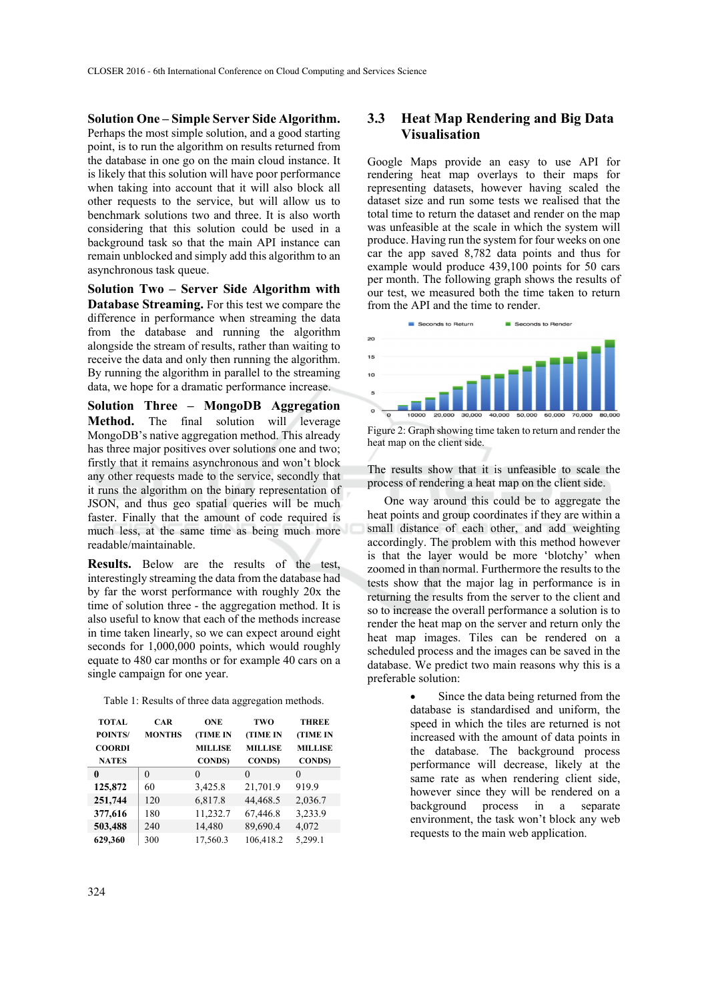**Solution One – Simple Server Side Algorithm.**  Perhaps the most simple solution, and a good starting point, is to run the algorithm on results returned from the database in one go on the main cloud instance. It is likely that this solution will have poor performance when taking into account that it will also block all other requests to the service, but will allow us to benchmark solutions two and three. It is also worth considering that this solution could be used in a background task so that the main API instance can remain unblocked and simply add this algorithm to an asynchronous task queue.

**Solution Two – Server Side Algorithm with Database Streaming.** For this test we compare the difference in performance when streaming the data from the database and running the algorithm alongside the stream of results, rather than waiting to receive the data and only then running the algorithm. By running the algorithm in parallel to the streaming data, we hope for a dramatic performance increase.

**Solution Three – MongoDB Aggregation Method.** The final solution will leverage MongoDB's native aggregation method. This already has three major positives over solutions one and two; firstly that it remains asynchronous and won't block any other requests made to the service, secondly that it runs the algorithm on the binary representation of JSON, and thus geo spatial queries will be much faster. Finally that the amount of code required is much less, at the same time as being much more readable/maintainable.

**Results.** Below are the results of the test, interestingly streaming the data from the database had by far the worst performance with roughly 20x the time of solution three - the aggregation method. It is also useful to know that each of the methods increase in time taken linearly, so we can expect around eight seconds for 1,000,000 points, which would roughly equate to 480 car months or for example 40 cars on a single campaign for one year.

| <b>TOTAL</b>   | <b>CAR</b>    | <b>ONE</b>      | TWO             | <b>THREE</b>    |
|----------------|---------------|-----------------|-----------------|-----------------|
| <b>POINTS/</b> | <b>MONTHS</b> | <b>(TIME IN</b> | <b>(TIME IN</b> | <b>(TIME IN</b> |
| <b>COORDI</b>  |               | <b>MILLISE</b>  | <b>MILLISE</b>  | <b>MILLISE</b>  |
| <b>NATES</b>   |               | <b>CONDS</b>    | <b>CONDS</b> )  | <b>CONDS</b> )  |
| 0              | 0             | 0               | 0               | $\theta$        |
| 125,872        | 60            | 3,425.8         | 21,701.9        | 919.9           |
| 251,744        | 120           | 6,817.8         | 44,468.5        | 2,036.7         |
| 377,616        | 180           | 11,232.7        | 67,446.8        | 3,233.9         |

**503,488** 240 14,480 89,690.4 4,072 **629,360** 300 17,560.3 106,418.2 5,299.1

Table 1: Results of three data aggregation methods.

# **3.3 Heat Map Rendering and Big Data Visualisation**

Google Maps provide an easy to use API for rendering heat map overlays to their maps for representing datasets, however having scaled the dataset size and run some tests we realised that the total time to return the dataset and render on the map was unfeasible at the scale in which the system will produce. Having run the system for four weeks on one car the app saved 8,782 data points and thus for example would produce 439,100 points for 50 cars per month. The following graph shows the results of our test, we measured both the time taken to return from the API and the time to render.



Figure 2: Graph showing time taken to return and render the heat map on the client side.

The results show that it is unfeasible to scale the process of rendering a heat map on the client side.

One way around this could be to aggregate the heat points and group coordinates if they are within a small distance of each other, and add weighting accordingly. The problem with this method however is that the layer would be more 'blotchy' when zoomed in than normal. Furthermore the results to the tests show that the major lag in performance is in returning the results from the server to the client and so to increase the overall performance a solution is to render the heat map on the server and return only the heat map images. Tiles can be rendered on a scheduled process and the images can be saved in the database. We predict two main reasons why this is a preferable solution:

> Since the data being returned from the database is standardised and uniform, the speed in which the tiles are returned is not increased with the amount of data points in the database. The background process performance will decrease, likely at the same rate as when rendering client side, however since they will be rendered on a background process in a separate environment, the task won't block any web requests to the main web application.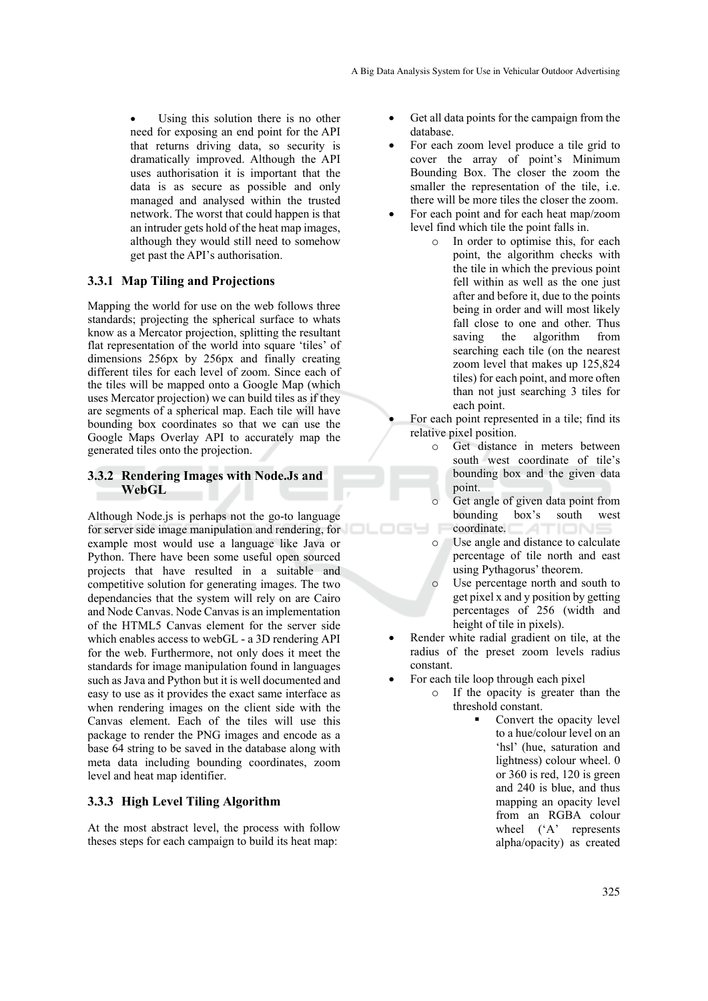Using this solution there is no other need for exposing an end point for the API that returns driving data, so security is dramatically improved. Although the API uses authorisation it is important that the data is as secure as possible and only managed and analysed within the trusted network. The worst that could happen is that an intruder gets hold of the heat map images, although they would still need to somehow get past the API's authorisation.

### **3.3.1 Map Tiling and Projections**

Mapping the world for use on the web follows three standards; projecting the spherical surface to whats know as a Mercator projection, splitting the resultant flat representation of the world into square 'tiles' of dimensions 256px by 256px and finally creating different tiles for each level of zoom. Since each of the tiles will be mapped onto a Google Map (which uses Mercator projection) we can build tiles as if they are segments of a spherical map. Each tile will have bounding box coordinates so that we can use the Google Maps Overlay API to accurately map the generated tiles onto the projection.

### **3.3.2 Rendering Images with Node.Js and WebGL**

Although Node.js is perhaps not the go-to language for server side image manipulation and rendering, for example most would use a language like Java or Python. There have been some useful open sourced projects that have resulted in a suitable and competitive solution for generating images. The two dependancies that the system will rely on are Cairo and Node Canvas. Node Canvas is an implementation of the HTML5 Canvas element for the server side which enables access to webGL - a 3D rendering API for the web. Furthermore, not only does it meet the standards for image manipulation found in languages such as Java and Python but it is well documented and easy to use as it provides the exact same interface as when rendering images on the client side with the Canvas element. Each of the tiles will use this package to render the PNG images and encode as a base 64 string to be saved in the database along with meta data including bounding coordinates, zoom level and heat map identifier.

### **3.3.3 High Level Tiling Algorithm**

At the most abstract level, the process with follow theses steps for each campaign to build its heat map:

- Get all data points for the campaign from the database.
- For each zoom level produce a tile grid to cover the array of point's Minimum Bounding Box. The closer the zoom the smaller the representation of the tile, i.e. there will be more tiles the closer the zoom.
- For each point and for each heat map/zoom level find which tile the point falls in.
	- o In order to optimise this, for each point, the algorithm checks with the tile in which the previous point fell within as well as the one just after and before it, due to the points being in order and will most likely fall close to one and other. Thus saving the algorithm from searching each tile (on the nearest zoom level that makes up 125,824 tiles) for each point, and more often than not just searching 3 tiles for each point.

 For each point represented in a tile; find its relative pixel position.

- o Get distance in meters between south west coordinate of tile's bounding box and the given data point.
- Get angle of given data point from<br>bounding box's south west south west coordinate. TION
- o Use angle and distance to calculate percentage of tile north and east using Pythagorus' theorem.
- Use percentage north and south to get pixel x and y position by getting percentages of 256 (width and height of tile in pixels).
- Render white radial gradient on tile, at the radius of the preset zoom levels radius constant.
- For each tile loop through each pixel

ocy

- o If the opacity is greater than the threshold constant.
	- Convert the opacity level to a hue/colour level on an 'hsl' (hue, saturation and lightness) colour wheel. 0 or 360 is red, 120 is green and 240 is blue, and thus mapping an opacity level from an RGBA colour wheel ('A' represents alpha/opacity) as created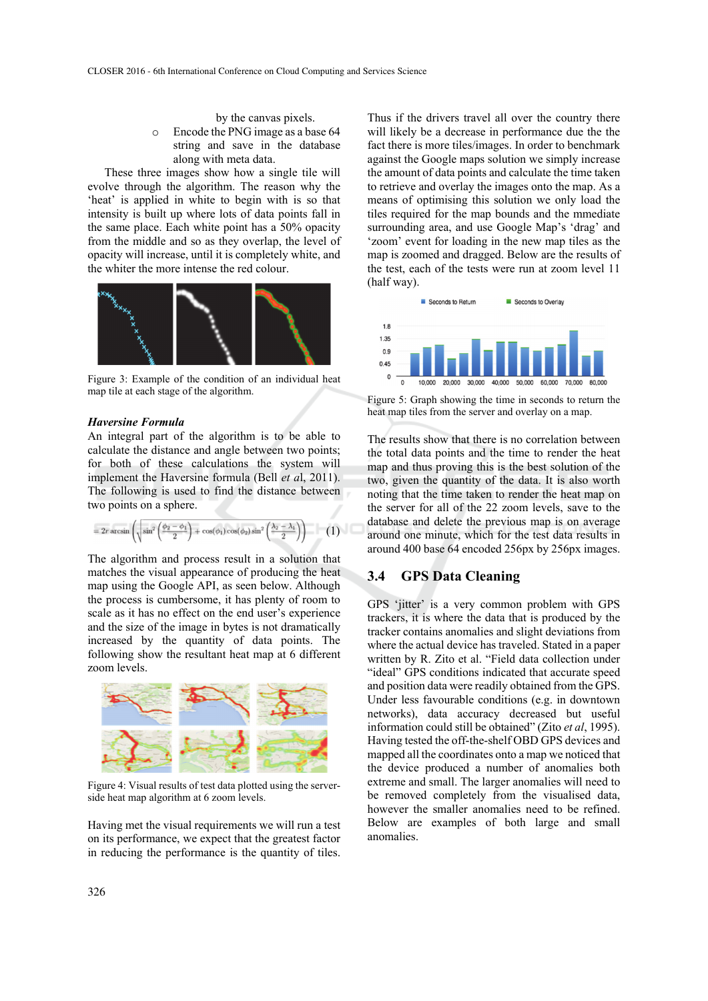by the canvas pixels.

o Encode the PNG image as a base 64 string and save in the database along with meta data.

These three images show how a single tile will evolve through the algorithm. The reason why the 'heat' is applied in white to begin with is so that intensity is built up where lots of data points fall in the same place. Each white point has a 50% opacity from the middle and so as they overlap, the level of opacity will increase, until it is completely white, and the whiter the more intense the red colour.



Figure 3: Example of the condition of an individual heat map tile at each stage of the algorithm.

#### *Haversine Formula*

An integral part of the algorithm is to be able to calculate the distance and angle between two points; for both of these calculations the system will implement the Haversine formula (Bell *et a*l, 2011). The following is used to find the distance between two points on a sphere.

$$
=2r\arcsin\left(\sqrt{\sin^2\left(\frac{\phi_2-\phi_1}{2}\right)+\cos(\phi_1)\cos(\phi_2)\sin^2\left(\frac{\lambda_2-\lambda_1}{2}\right)}\right)\qquad (1)
$$

The algorithm and process result in a solution that matches the visual appearance of producing the heat map using the Google API, as seen below. Although the process is cumbersome, it has plenty of room to scale as it has no effect on the end user's experience and the size of the image in bytes is not dramatically increased by the quantity of data points. The following show the resultant heat map at 6 different zoom levels.



Figure 4: Visual results of test data plotted using the serverside heat map algorithm at 6 zoom levels.

Having met the visual requirements we will run a test on its performance, we expect that the greatest factor in reducing the performance is the quantity of tiles.

Thus if the drivers travel all over the country there will likely be a decrease in performance due the the fact there is more tiles/images. In order to benchmark against the Google maps solution we simply increase the amount of data points and calculate the time taken to retrieve and overlay the images onto the map. As a means of optimising this solution we only load the tiles required for the map bounds and the mmediate surrounding area, and use Google Map's 'drag' and 'zoom' event for loading in the new map tiles as the map is zoomed and dragged. Below are the results of the test, each of the tests were run at zoom level 11 (half way).



Figure 5: Graph showing the time in seconds to return the heat map tiles from the server and overlay on a map.

The results show that there is no correlation between the total data points and the time to render the heat map and thus proving this is the best solution of the two, given the quantity of the data. It is also worth noting that the time taken to render the heat map on the server for all of the 22 zoom levels, save to the database and delete the previous map is on average around one minute, which for the test data results in around 400 base 64 encoded 256px by 256px images.

### **3.4 GPS Data Cleaning**

GPS 'jitter' is a very common problem with GPS trackers, it is where the data that is produced by the tracker contains anomalies and slight deviations from where the actual device has traveled. Stated in a paper written by R. Zito et al. "Field data collection under "ideal" GPS conditions indicated that accurate speed and position data were readily obtained from the GPS. Under less favourable conditions (e.g. in downtown networks), data accuracy decreased but useful information could still be obtained" (Zito *et al*, 1995). Having tested the off-the-shelf OBD GPS devices and mapped all the coordinates onto a map we noticed that the device produced a number of anomalies both extreme and small. The larger anomalies will need to be removed completely from the visualised data, however the smaller anomalies need to be refined. Below are examples of both large and small anomalies.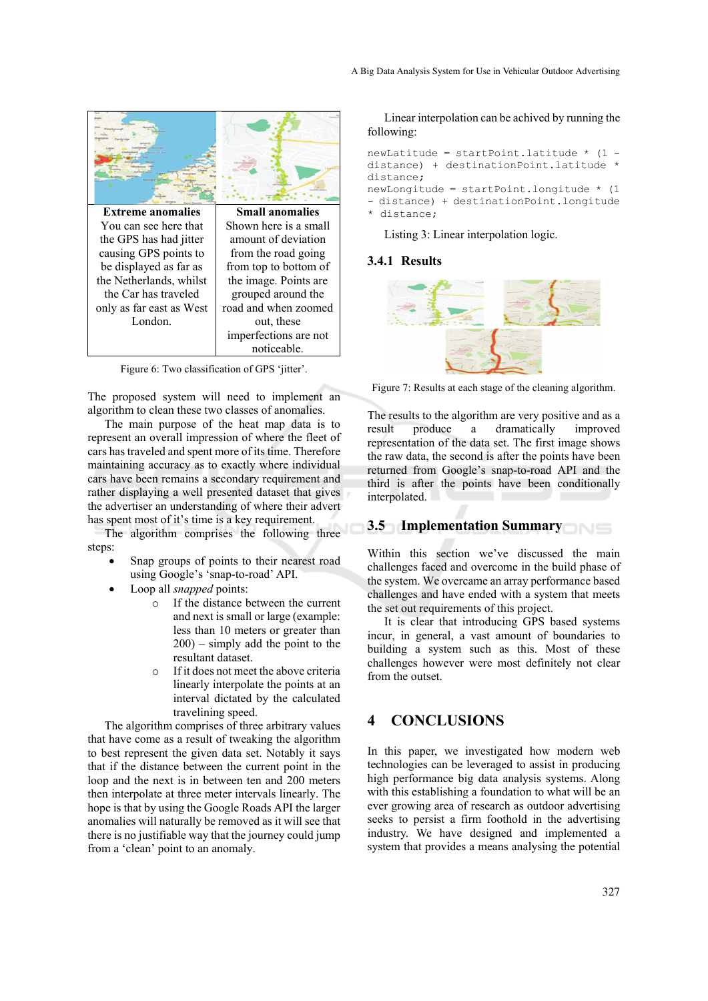

Figure 6: Two classification of GPS 'jitter'.

The proposed system will need to implement an algorithm to clean these two classes of anomalies.

The main purpose of the heat map data is to represent an overall impression of where the fleet of cars has traveled and spent more of its time. Therefore maintaining accuracy as to exactly where individual cars have been remains a secondary requirement and rather displaying a well presented dataset that gives the advertiser an understanding of where their advert has spent most of it's time is a key requirement.

The algorithm comprises the following three steps:

- Snap groups of points to their nearest road using Google's 'snap-to-road' API.
- Loop all *snapped* points:
	- o If the distance between the current and next is small or large (example: less than 10 meters or greater than 200) – simply add the point to the resultant dataset.
	- o If it does not meet the above criteria linearly interpolate the points at an interval dictated by the calculated travelining speed.

The algorithm comprises of three arbitrary values that have come as a result of tweaking the algorithm to best represent the given data set. Notably it says that if the distance between the current point in the loop and the next is in between ten and 200 meters then interpolate at three meter intervals linearly. The hope is that by using the Google Roads API the larger anomalies will naturally be removed as it will see that there is no justifiable way that the journey could jump from a 'clean' point to an anomaly.

Linear interpolation can be achived by running the following:

```
newLatitude = startPoint.latitude * (1 - 
distance) + destinationPoint.latitude * 
distance;
```
newLongitude = startPoint.longitude \* (1 - distance) + destinationPoint.longitude \* distance;

Listing 3: Linear interpolation logic.

### **3.4.1 Results**



Figure 7: Results at each stage of the cleaning algorithm.

The results to the algorithm are very positive and as a result produce a dramatically improved representation of the data set. The first image shows the raw data, the second is after the points have been returned from Google's snap-to-road API and the third is after the points have been conditionally interpolated.

# **3.5 Implementation Summary**

Within this section we've discussed the main challenges faced and overcome in the build phase of the system. We overcame an array performance based challenges and have ended with a system that meets the set out requirements of this project.

It is clear that introducing GPS based systems incur, in general, a vast amount of boundaries to building a system such as this. Most of these challenges however were most definitely not clear from the outset.

# **4 CONCLUSIONS**

In this paper, we investigated how modern web technologies can be leveraged to assist in producing high performance big data analysis systems. Along with this establishing a foundation to what will be an ever growing area of research as outdoor advertising seeks to persist a firm foothold in the advertising industry. We have designed and implemented a system that provides a means analysing the potential